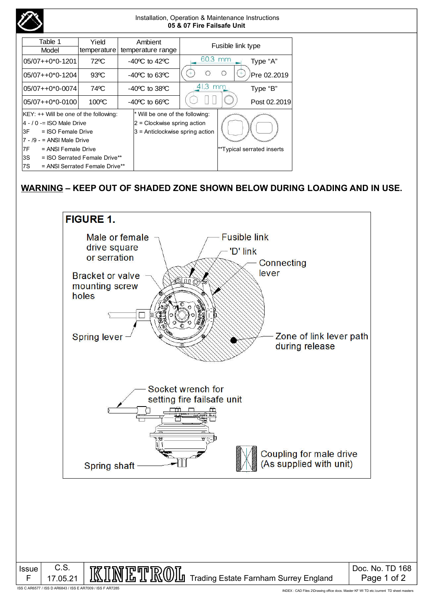| Installation, Operation & Maintenance Instructions<br>05 & 07 Fire Failsafe Unit                                                                                                                                                                                                                                                                     |                      |                                    |                   |   |                            |
|------------------------------------------------------------------------------------------------------------------------------------------------------------------------------------------------------------------------------------------------------------------------------------------------------------------------------------------------------|----------------------|------------------------------------|-------------------|---|----------------------------|
| Table 1<br>Model                                                                                                                                                                                                                                                                                                                                     | Yield<br>temperature | Ambient<br>temperature range       | Fusible link type |   |                            |
| 05/07++0*0-1201                                                                                                                                                                                                                                                                                                                                      | $72^{\circ}$ C       | $-40^{\circ}$ C to $42^{\circ}$ C  | 60.3 mm           |   | Type "A"                   |
| $05/07++0*0-1204$                                                                                                                                                                                                                                                                                                                                    | $93^{\circ}$ C       | $-40^{\circ}$ C to 63 $^{\circ}$ C | ◯                 | O | Pre 02.2019                |
| $05/07++0*0-0074$                                                                                                                                                                                                                                                                                                                                    | 74°C                 | $-40^{\circ}$ C to 38 $^{\circ}$ C | $41.3$ mm         |   | Type "B"                   |
| $05/07++0*0-0100$                                                                                                                                                                                                                                                                                                                                    | 100°C                | $-40^{\circ}$ C to 66 $^{\circ}$ C |                   |   | Post 02.2019               |
| Will be one of the following:<br>$K EY:++$ Will be one of the following:<br>$4 - 10 =$ ISO Male Drive<br>$ 2$ = Clockwise spring action<br>$3$ = Anticlockwise spring action<br>l3F<br>= ISO Female Drive<br>7 - /9 - = ANSI Male Drive<br>17F<br>= ANSI Female Drive<br>3S<br>= ISO Serrated Female Drive**<br>7S<br>= ANSI Serrated Female Drive** |                      |                                    |                   |   | **Typical serrated inserts |

### **WARNING – KEEP OUT OF SHADED ZONE SHOWN BELOW DURING LOADING AND IN USE.**